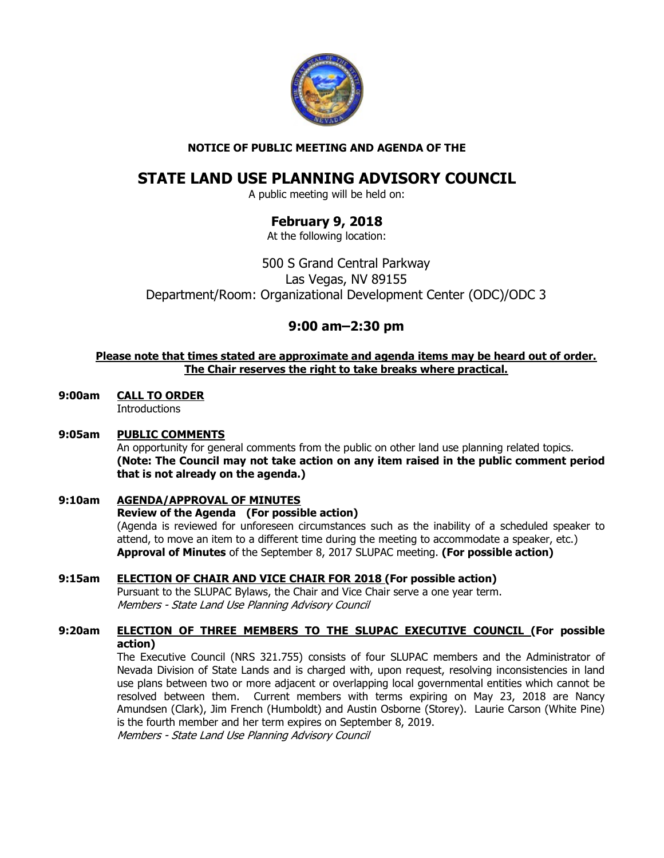

## NOTICE OF PUBLIC MEETING AND AGENDA OF THE

# STATE LAND USE PLANNING ADVISORY COUNCIL

A public meeting will be held on:

## February 9, 2018

At the following location:

500 S Grand Central Parkway Las Vegas, NV 89155 Department/Room: Organizational Development Center (ODC)/ODC 3

## 9:00 am–2:30 pm

#### Please note that times stated are approximate and agenda items may be heard out of order. The Chair reserves the right to take breaks where practical.

9:00am CALL TO ORDER **Introductions** 

## 9:05am PUBLIC COMMENTS

An opportunity for general comments from the public on other land use planning related topics. (Note: The Council may not take action on any item raised in the public comment period that is not already on the agenda.)

## 9:10am AGENDA/APPROVAL OF MINUTES

#### Review of the Agenda (For possible action)

(Agenda is reviewed for unforeseen circumstances such as the inability of a scheduled speaker to attend, to move an item to a different time during the meeting to accommodate a speaker, etc.) Approval of Minutes of the September 8, 2017 SLUPAC meeting. (For possible action)

## 9:15am ELECTION OF CHAIR AND VICE CHAIR FOR 2018 (For possible action)

Pursuant to the SLUPAC Bylaws, the Chair and Vice Chair serve a one year term. Members - State Land Use Planning Advisory Council

## 9:20am ELECTION OF THREE MEMBERS TO THE SLUPAC EXECUTIVE COUNCIL (For possible action)

The Executive Council (NRS 321.755) consists of four SLUPAC members and the Administrator of Nevada Division of State Lands and is charged with, upon request, resolving inconsistencies in land use plans between two or more adjacent or overlapping local governmental entities which cannot be resolved between them. Current members with terms expiring on May 23, 2018 are Nancy Amundsen (Clark), Jim French (Humboldt) and Austin Osborne (Storey). Laurie Carson (White Pine) is the fourth member and her term expires on September 8, 2019.

Members - State Land Use Planning Advisory Council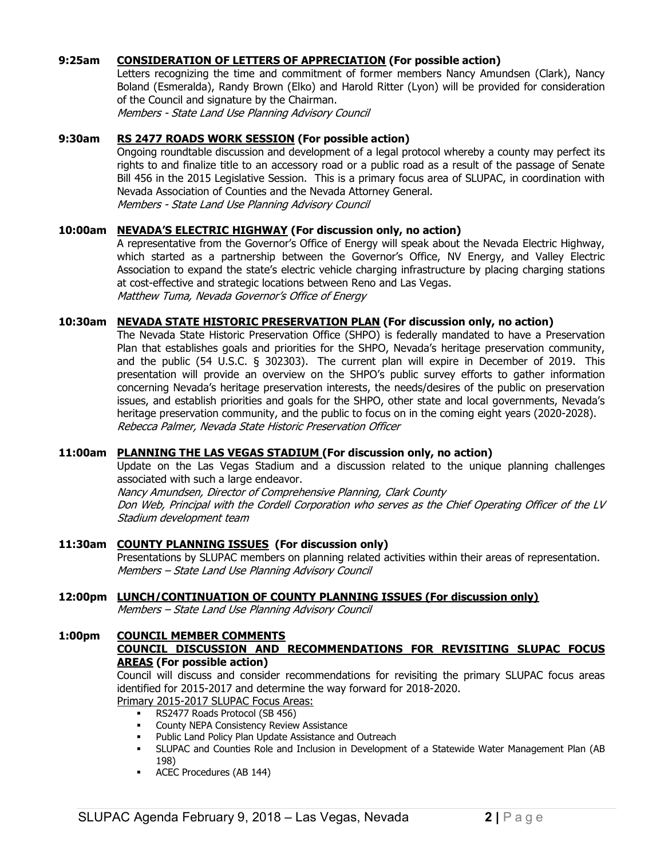#### 9:25am CONSIDERATION OF LETTERS OF APPRECIATION (For possible action)

 Letters recognizing the time and commitment of former members Nancy Amundsen (Clark), Nancy Boland (Esmeralda), Randy Brown (Elko) and Harold Ritter (Lyon) will be provided for consideration of the Council and signature by the Chairman. Members - State Land Use Planning Advisory Council

#### 9:30am RS 2477 ROADS WORK SESSION (For possible action)

 Ongoing roundtable discussion and development of a legal protocol whereby a county may perfect its rights to and finalize title to an accessory road or a public road as a result of the passage of Senate Bill 456 in the 2015 Legislative Session. This is a primary focus area of SLUPAC, in coordination with Nevada Association of Counties and the Nevada Attorney General. Members - State Land Use Planning Advisory Council

#### 10:00am NEVADA'S ELECTRIC HIGHWAY (For discussion only, no action)

 A representative from the Governor's Office of Energy will speak about the Nevada Electric Highway, which started as a partnership between the Governor's Office, NV Energy, and Valley Electric Association to expand the state's electric vehicle charging infrastructure by placing charging stations at cost-effective and strategic locations between Reno and Las Vegas. Matthew Tuma, Nevada Governor's Office of Energy

#### 10:30am NEVADA STATE HISTORIC PRESERVATION PLAN (For discussion only, no action)

 The Nevada State Historic Preservation Office (SHPO) is federally mandated to have a Preservation Plan that establishes goals and priorities for the SHPO, Nevada's heritage preservation community, and the public (54 U.S.C. § 302303). The current plan will expire in December of 2019. This presentation will provide an overview on the SHPO's public survey efforts to gather information concerning Nevada's heritage preservation interests, the needs/desires of the public on preservation issues, and establish priorities and goals for the SHPO, other state and local governments, Nevada's heritage preservation community, and the public to focus on in the coming eight years (2020-2028). Rebecca Palmer, Nevada State Historic Preservation Officer

#### 11:00am PLANNING THE LAS VEGAS STADIUM (For discussion only, no action)

Update on the Las Vegas Stadium and a discussion related to the unique planning challenges associated with such a large endeavor. Nancy Amundsen, Director of Comprehensive Planning, Clark County

 Don Web, Principal with the Cordell Corporation who serves as the Chief Operating Officer of the LV Stadium development team

#### 11:30am COUNTY PLANNING ISSUES (For discussion only)

Presentations by SLUPAC members on planning related activities within their areas of representation. Members – State Land Use Planning Advisory Council

#### 12:00pm LUNCH/CONTINUATION OF COUNTY PLANNING ISSUES (For discussion only)

Members – State Land Use Planning Advisory Council

## 1:00pm COUNCIL MEMBER COMMENTS

### COUNCIL DISCUSSION AND RECOMMENDATIONS FOR REVISITING SLUPAC FOCUS AREAS (For possible action)

Council will discuss and consider recommendations for revisiting the primary SLUPAC focus areas identified for 2015-2017 and determine the way forward for 2018-2020.

## Primary 2015-2017 SLUPAC Focus Areas:

- **RS2477 Roads Protocol (SB 456)**
- **County NEPA Consistency Review Assistance**
- Public Land Policy Plan Update Assistance and Outreach
- SLUPAC and Counties Role and Inclusion in Development of a Statewide Water Management Plan (AB 198)
- ACEC Procedures (AB 144)